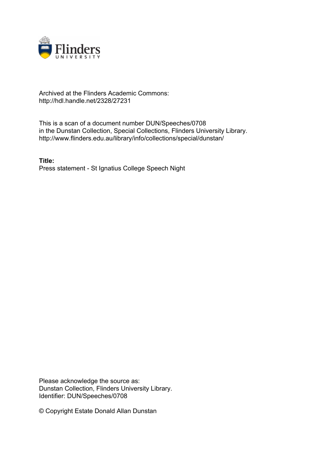

## Archived at the Flinders Academic Commons: http://hdl.handle.net/2328/27231

This is a scan of a document number DUN/Speeches/0708 in the Dunstan Collection, Special Collections, Flinders University Library. http://www.flinders.edu.au/library/info/collections/special/dunstan/

**Title:** Press statement - St Ignatius College Speech Night

Please acknowledge the source as: Dunstan Collection, Flinders University Library. Identifier: DUN/Speeches/0708

© Copyright Estate Donald Allan Dunstan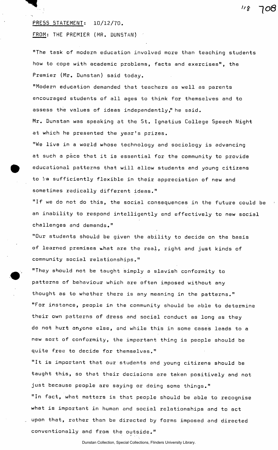## PRESS STATEMENT: 10/12/70.

FROM: THE PREMIER (MR. DUNSTAN)

"The task of modern education involved more than teaching students how to cope with academic problems, facts and exercises", the Premier (Mr. Dunstan) said today.

 $118$ 

108

"Modern education demanded that teachers as well as parents encouraged students of all ages to think for themselves and to assess the values of ideas independently," he said. Mr. Dunstan was speaking at the St. Ignatius College Speech Night at which he presented the year's prizes.

"We live in a world whose technology and sociology is advancing at such a pace that it is essential for the community to provide educational patterns that will allow students and young citizens to be sufficiently flexible in their appreciation of new and sometimes radically different ideas."

"If we do not do this, the social consequences in the future could be an inability to respond intelligently and effectively to new social challenges and demands."

"Our students should be given the ability to decide on the basis of learned premises what are the real, right and just kinds of community social relationships."

"They should not be taught simply a slavish conformity to patterns of behaviour which are often imposed without any thought as to whether there is any meaning in the patterns." 'Tor instance, people in the community should be able to determine their own patterns of dress and social conduct as long as they do not hurt anyone else, and while this in some cases leads to a new sort of conformity, the important thing is people should be quite free to decide for themselves."

"It is important that our students and young citizens should be taught this, so that their decisions are taken positively and not just because people are saying or doing some things." "In fact, what matters is that people should be able to recognise what is important in human and social relationships and to act upon that, rather than be directed by forms imposed and directed conventionally and from the outside."

## Dunstan Collection, Special Collections, Flinders University Library.